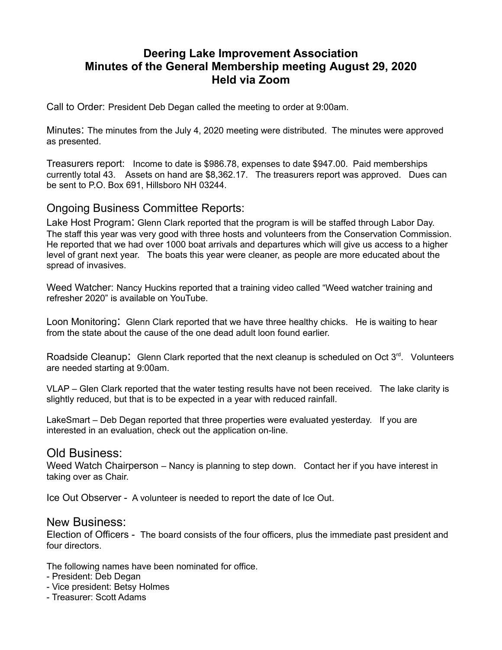# **Deering Lake Improvement Association Minutes of the General Membership meeting August 29, 2020 Held via Zoom**

Call to Order: President Deb Degan called the meeting to order at 9:00am.

Minutes: The minutes from the July 4, 2020 meeting were distributed. The minutes were approved as presented.

Treasurers report: Income to date is \$986.78, expenses to date \$947.00. Paid memberships currently total 43. Assets on hand are \$8,362.17. The treasurers report was approved. Dues can be sent to P.O. Box 691, Hillsboro NH 03244.

## Ongoing Business Committee Reports:

Lake Host Program: Glenn Clark reported that the program is will be staffed through Labor Day. The staff this year was very good with three hosts and volunteers from the Conservation Commission. He reported that we had over 1000 boat arrivals and departures which will give us access to a higher level of grant next year. The boats this year were cleaner, as people are more educated about the spread of invasives.

Weed Watcher: Nancy Huckins reported that a training video called "Weed watcher training and refresher 2020" is available on YouTube.

Loon Monitoring: Glenn Clark reported that we have three healthy chicks. He is waiting to hear from the state about the cause of the one dead adult loon found earlier.

Roadside Cleanup: Glenn Clark reported that the next cleanup is scheduled on Oct 3<sup>rd</sup>. Volunteers are needed starting at 9:00am.

VLAP – Glen Clark reported that the water testing results have not been received. The lake clarity is slightly reduced, but that is to be expected in a year with reduced rainfall.

LakeSmart – Deb Degan reported that three properties were evaluated yesterday. If you are interested in an evaluation, check out the application on-line.

### Old Business:

Weed Watch Chairperson – Nancy is planning to step down. Contact her if you have interest in taking over as Chair.

Ice Out Observer - A volunteer is needed to report the date of Ice Out.

#### New Business:

Election of Officers - The board consists of the four officers, plus the immediate past president and four directors.

The following names have been nominated for office.

- President: Deb Degan
- Vice president: Betsy Holmes
- Treasurer: Scott Adams